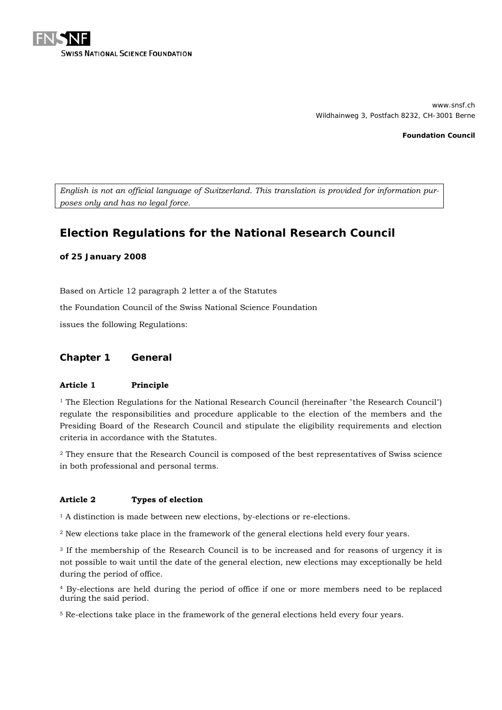

www.snsf.ch Wildhainweg 3, Postfach 8232, CH-3001 Berne

**Foundation Council**

*English is not an official language of Switzerland. This translation is provided for information purposes only and has no legal force.*

# **Election Regulations for the National Research Council**

# **of 25 January 2008**

Based on Article 12 paragraph 2 letter a of the Statutes

the Foundation Council of the Swiss National Science Foundation

issues the following Regulations:

# **Chapter 1 General**

#### **Article 1 Principle**

<sup>1</sup> The Election Regulations for the National Research Council (hereinafter "the Research Council") regulate the responsibilities and procedure applicable to the election of the members and the Presiding Board of the Research Council and stipulate the eligibility requirements and election criteria in accordance with the Statutes.

<sup>2</sup> They ensure that the Research Council is composed of the best representatives of Swiss science in both professional and personal terms.

# **Article 2 Types of election**

<sup>1</sup> A distinction is made between new elections, by-elections or re-elections.

<sup>2</sup> New elections take place in the framework of the general elections held every four years.

<sup>3</sup> If the membership of the Research Council is to be increased and for reasons of urgency it is not possible to wait until the date of the general election, new elections may exceptionally be held during the period of office.

<sup>4</sup> By-elections are held during the period of office if one or more members need to be replaced during the said period.

<sup>5</sup> Re-elections take place in the framework of the general elections held every four years.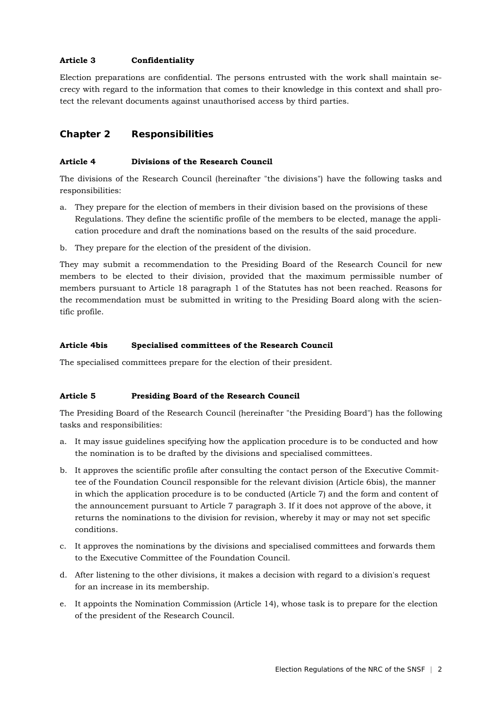# **Article 3 Confidentiality**

Election preparations are confidential. The persons entrusted with the work shall maintain secrecy with regard to the information that comes to their knowledge in this context and shall protect the relevant documents against unauthorised access by third parties.

# **Chapter 2 Responsibilities**

# **Article 4 Divisions of the Research Council**

The divisions of the Research Council (hereinafter "the divisions") have the following tasks and responsibilities:

- a. They prepare for the election of members in their division based on the provisions of these Regulations. They define the scientific profile of the members to be elected, manage the application procedure and draft the nominations based on the results of the said procedure.
- b. They prepare for the election of the president of the division.

They may submit a recommendation to the Presiding Board of the Research Council for new members to be elected to their division, provided that the maximum permissible number of members pursuant to Article 18 paragraph 1 of the Statutes has not been reached. Reasons for the recommendation must be submitted in writing to the Presiding Board along with the scientific profile.

#### **Article 4bis Specialised committees of the Research Council**

The specialised committees prepare for the election of their president.

#### **Article 5 Presiding Board of the Research Council**

The Presiding Board of the Research Council (hereinafter "the Presiding Board") has the following tasks and responsibilities:

- a. It may issue guidelines specifying how the application procedure is to be conducted and how the nomination is to be drafted by the divisions and specialised committees.
- b. It approves the scientific profile after consulting the contact person of the Executive Committee of the Foundation Council responsible for the relevant division (Article 6bis), the manner in which the application procedure is to be conducted (Article 7) and the form and content of the announcement pursuant to Article 7 paragraph 3. If it does not approve of the above, it returns the nominations to the division for revision, whereby it may or may not set specific conditions.
- c. It approves the nominations by the divisions and specialised committees and forwards them to the Executive Committee of the Foundation Council.
- d. After listening to the other divisions, it makes a decision with regard to a division's request for an increase in its membership.
- e. It appoints the Nomination Commission (Article 14), whose task is to prepare for the election of the president of the Research Council.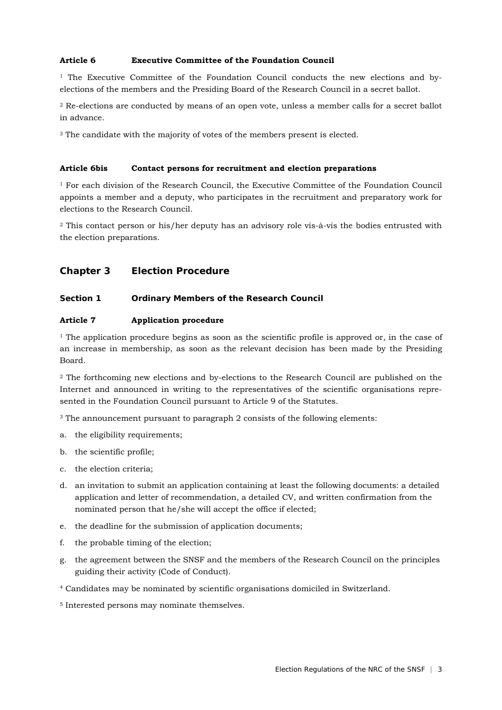# **Article 6 Executive Committee of the Foundation Council**

<sup>1</sup> The Executive Committee of the Foundation Council conducts the new elections and byelections of the members and the Presiding Board of the Research Council in a secret ballot.

<sup>2</sup> Re-elections are conducted by means of an open vote, unless a member calls for a secret ballot in advance.

<sup>3</sup> The candidate with the majority of votes of the members present is elected.

#### **Article 6bis Contact persons for recruitment and election preparations**

<sup>1</sup> For each division of the Research Council, the Executive Committee of the Foundation Council appoints a member and a deputy, who participates in the recruitment and preparatory work for elections to the Research Council.

<sup>2</sup> This contact person or his/her deputy has an advisory role vis-à-vis the bodies entrusted with the election preparations.

# **Chapter 3 Election Procedure**

# **Section 1 Ordinary Members of the Research Council**

### **Article 7 Application procedure**

<sup>1</sup> The application procedure begins as soon as the scientific profile is approved or, in the case of an increase in membership, as soon as the relevant decision has been made by the Presiding Board.

<sup>2</sup> The forthcoming new elections and by-elections to the Research Council are published on the Internet and announced in writing to the representatives of the scientific organisations represented in the Foundation Council pursuant to Article 9 of the Statutes.

<sup>3</sup> The announcement pursuant to paragraph 2 consists of the following elements:

- a. the eligibility requirements;
- b. the scientific profile;
- c. the election criteria;
- d. an invitation to submit an application containing at least the following documents: a detailed application and letter of recommendation, a detailed CV, and written confirmation from the nominated person that he/she will accept the office if elected;
- e. the deadline for the submission of application documents;
- f. the probable timing of the election;
- g. the agreement between the SNSF and the members of the Research Council on the principles guiding their activity (Code of Conduct).
- <sup>4</sup> Candidates may be nominated by scientific organisations domiciled in Switzerland.
- <sup>5</sup> Interested persons may nominate themselves.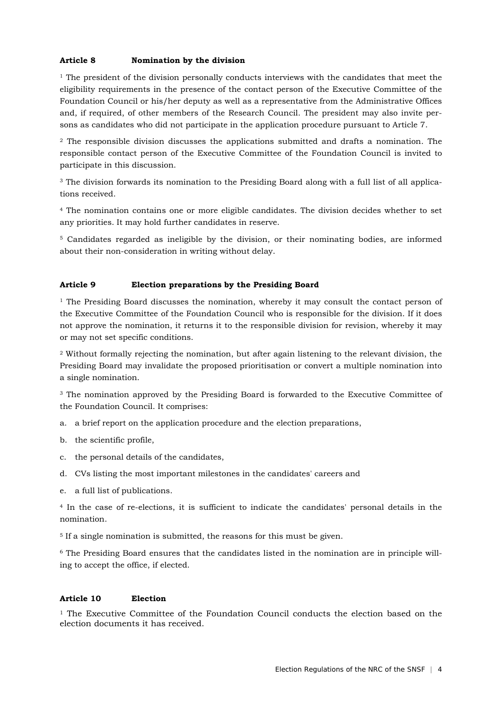# **Article 8 Nomination by the division**

 $1$  The president of the division personally conducts interviews with the candidates that meet the eligibility requirements in the presence of the contact person of the Executive Committee of the Foundation Council or his/her deputy as well as a representative from the Administrative Offices and, if required, of other members of the Research Council. The president may also invite persons as candidates who did not participate in the application procedure pursuant to Article 7.

<sup>2</sup> The responsible division discusses the applications submitted and drafts a nomination. The responsible contact person of the Executive Committee of the Foundation Council is invited to participate in this discussion.

<sup>3</sup> The division forwards its nomination to the Presiding Board along with a full list of all applications received.

<sup>4</sup> The nomination contains one or more eligible candidates. The division decides whether to set any priorities. It may hold further candidates in reserve.

<sup>5</sup> Candidates regarded as ineligible by the division, or their nominating bodies, are informed about their non-consideration in writing without delay.

### **Article 9 Election preparations by the Presiding Board**

 $1$  The Presiding Board discusses the nomination, whereby it may consult the contact person of the Executive Committee of the Foundation Council who is responsible for the division. If it does not approve the nomination, it returns it to the responsible division for revision, whereby it may or may not set specific conditions.

<sup>2</sup> Without formally rejecting the nomination, but after again listening to the relevant division, the Presiding Board may invalidate the proposed prioritisation or convert a multiple nomination into a single nomination.

<sup>3</sup> The nomination approved by the Presiding Board is forwarded to the Executive Committee of the Foundation Council. It comprises:

- a. a brief report on the application procedure and the election preparations,
- b. the scientific profile,
- c. the personal details of the candidates,
- d. CVs listing the most important milestones in the candidates' careers and
- e. a full list of publications.

<sup>4</sup> In the case of re-elections, it is sufficient to indicate the candidates' personal details in the nomination.

<sup>5</sup> If a single nomination is submitted, the reasons for this must be given.

<sup>6</sup> The Presiding Board ensures that the candidates listed in the nomination are in principle willing to accept the office, if elected.

#### **Article 10 Election**

<sup>1</sup> The Executive Committee of the Foundation Council conducts the election based on the election documents it has received.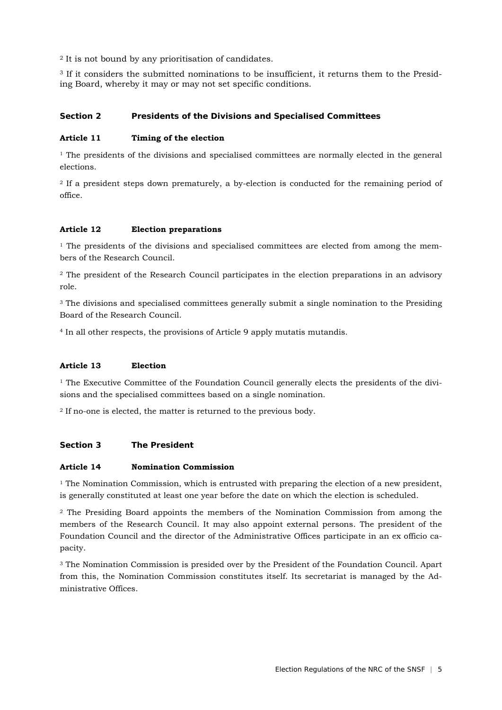<sup>2</sup> It is not bound by any prioritisation of candidates.

<sup>3</sup> If it considers the submitted nominations to be insufficient, it returns them to the Presiding Board, whereby it may or may not set specific conditions.

# **Section 2 Presidents of the Divisions and Specialised Committees**

#### **Article 11 Timing of the election**

 $1$  The presidents of the divisions and specialised committees are normally elected in the general elections.

<sup>2</sup> If a president steps down prematurely, a by-election is conducted for the remaining period of office.

# **Article 12 Election preparations**

 $1$  The presidents of the divisions and specialised committees are elected from among the members of the Research Council.

<sup>2</sup> The president of the Research Council participates in the election preparations in an advisory role.

<sup>3</sup> The divisions and specialised committees generally submit a single nomination to the Presiding Board of the Research Council.

<sup>4</sup> In all other respects, the provisions of Article 9 apply mutatis mutandis.

# **Article 13 Election**

 $<sup>1</sup>$  The Executive Committee of the Foundation Council generally elects the presidents of the divi-</sup> sions and the specialised committees based on a single nomination.

<sup>2</sup> If no-one is elected, the matter is returned to the previous body.

#### **Section 3 The President**

#### **Article 14 Nomination Commission**

<sup>1</sup> The Nomination Commission, which is entrusted with preparing the election of a new president, is generally constituted at least one year before the date on which the election is scheduled.

<sup>2</sup> The Presiding Board appoints the members of the Nomination Commission from among the members of the Research Council. It may also appoint external persons. The president of the Foundation Council and the director of the Administrative Offices participate in an ex officio capacity.

<sup>3</sup> The Nomination Commission is presided over by the President of the Foundation Council. Apart from this, the Nomination Commission constitutes itself. Its secretariat is managed by the Administrative Offices.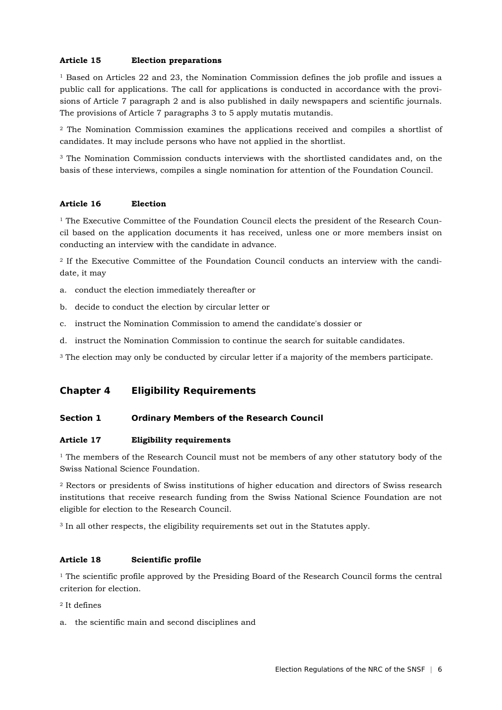#### **Article 15 Election preparations**

 $1$  Based on Articles 22 and 23, the Nomination Commission defines the job profile and issues a public call for applications. The call for applications is conducted in accordance with the provisions of Article 7 paragraph 2 and is also published in daily newspapers and scientific journals. The provisions of Article 7 paragraphs 3 to 5 apply mutatis mutandis.

<sup>2</sup> The Nomination Commission examines the applications received and compiles a shortlist of candidates. It may include persons who have not applied in the shortlist.

<sup>3</sup> The Nomination Commission conducts interviews with the shortlisted candidates and, on the basis of these interviews, compiles a single nomination for attention of the Foundation Council.

# **Article 16 Election**

 $<sup>1</sup>$  The Executive Committee of the Foundation Council elects the president of the Research Coun-</sup> cil based on the application documents it has received, unless one or more members insist on conducting an interview with the candidate in advance.

<sup>2</sup> If the Executive Committee of the Foundation Council conducts an interview with the candidate, it may

- a. conduct the election immediately thereafter or
- b. decide to conduct the election by circular letter or
- c. instruct the Nomination Commission to amend the candidate's dossier or
- d. instruct the Nomination Commission to continue the search for suitable candidates.

<sup>3</sup> The election may only be conducted by circular letter if a majority of the members participate.

# **Chapter 4 Eligibility Requirements**

#### **Section 1 Ordinary Members of the Research Council**

#### **Article 17 Eligibility requirements**

 $1$  The members of the Research Council must not be members of any other statutory body of the Swiss National Science Foundation.

<sup>2</sup> Rectors or presidents of Swiss institutions of higher education and directors of Swiss research institutions that receive research funding from the Swiss National Science Foundation are not eligible for election to the Research Council.

<sup>3</sup> In all other respects, the eligibility requirements set out in the Statutes apply.

# **Article 18 Scientific profile**

 $<sup>1</sup>$  The scientific profile approved by the Presiding Board of the Research Council forms the central</sup> criterion for election.

# <sup>2</sup> It defines

a. the scientific main and second disciplines and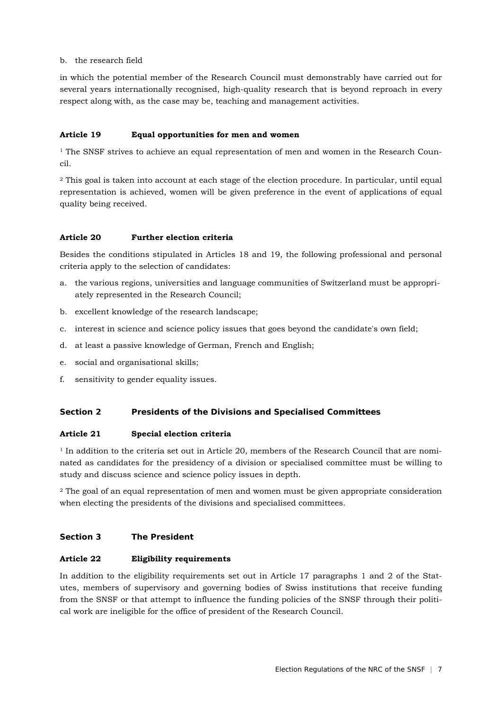### b. the research field

in which the potential member of the Research Council must demonstrably have carried out for several years internationally recognised, high-quality research that is beyond reproach in every respect along with, as the case may be, teaching and management activities.

# **Article 19 Equal opportunities for men and women**

 $1$  The SNSF strives to achieve an equal representation of men and women in the Research Council.

<sup>2</sup> This goal is taken into account at each stage of the election procedure. In particular, until equal representation is achieved, women will be given preference in the event of applications of equal quality being received.

# **Article 20 Further election criteria**

Besides the conditions stipulated in Articles 18 and 19, the following professional and personal criteria apply to the selection of candidates:

- a. the various regions, universities and language communities of Switzerland must be appropriately represented in the Research Council;
- b. excellent knowledge of the research landscape;
- c. interest in science and science policy issues that goes beyond the candidate's own field;
- d. at least a passive knowledge of German, French and English;
- e. social and organisational skills;
- f. sensitivity to gender equality issues.

# **Section 2 Presidents of the Divisions and Specialised Committees**

# **Article 21 Special election criteria**

<sup>1</sup> In addition to the criteria set out in Article 20, members of the Research Council that are nominated as candidates for the presidency of a division or specialised committee must be willing to study and discuss science and science policy issues in depth.

<sup>2</sup> The goal of an equal representation of men and women must be given appropriate consideration when electing the presidents of the divisions and specialised committees.

#### **Section 3 The President**

#### **Article 22 Eligibility requirements**

In addition to the eligibility requirements set out in Article 17 paragraphs 1 and 2 of the Statutes, members of supervisory and governing bodies of Swiss institutions that receive funding from the SNSF or that attempt to influence the funding policies of the SNSF through their political work are ineligible for the office of president of the Research Council.